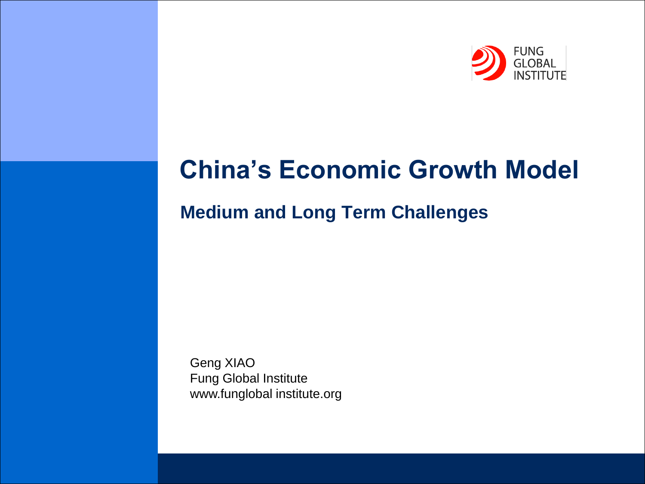

# **China's Economic Growth Model**

# **Medium and Long Term Challenges**

Geng XIAO Fung Global Institute www.funglobal institute.org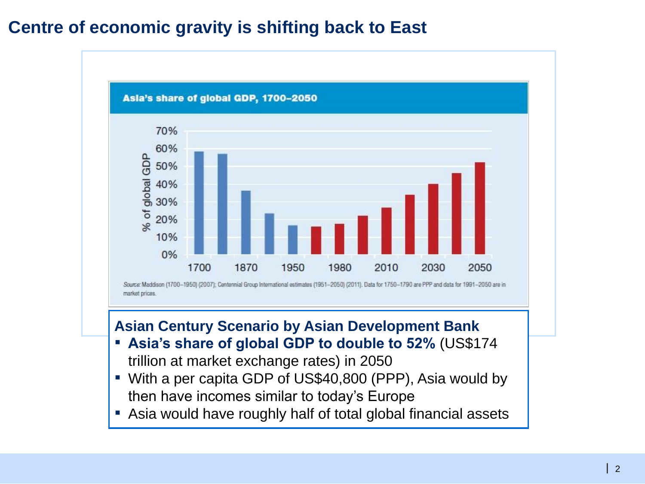#### **Centre of economic gravity is shifting back to East**



#### **Asian Century Scenario by Asian Development Bank**

- **Asia's share of global GDP to double to 52%** (US\$174 trillion at market exchange rates) in 2050
- With a per capita GDP of US\$40,800 (PPP), Asia would by then have incomes similar to today's Europe
- Asia would have roughly half of total global financial assets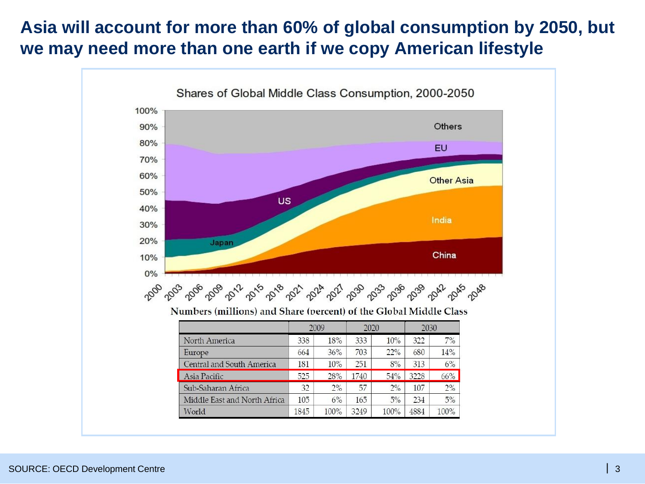# **Asia will account for more than 60% of global consumption by 2050, but we may need more than one earth if we copy American lifestyle**

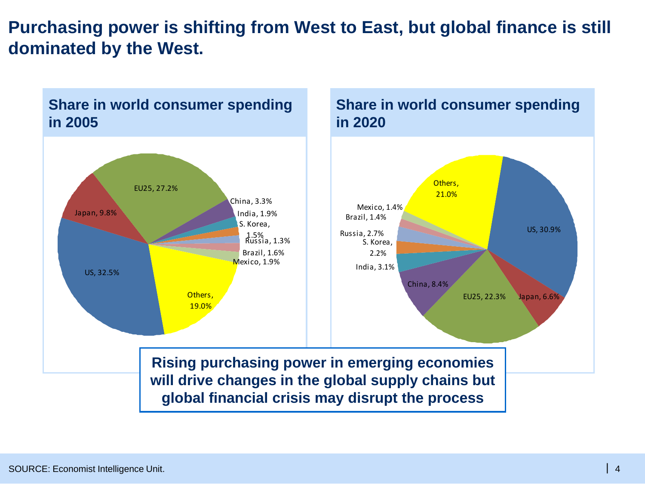# **Purchasing power is shifting from West to East, but global finance is still dominated by the West.**

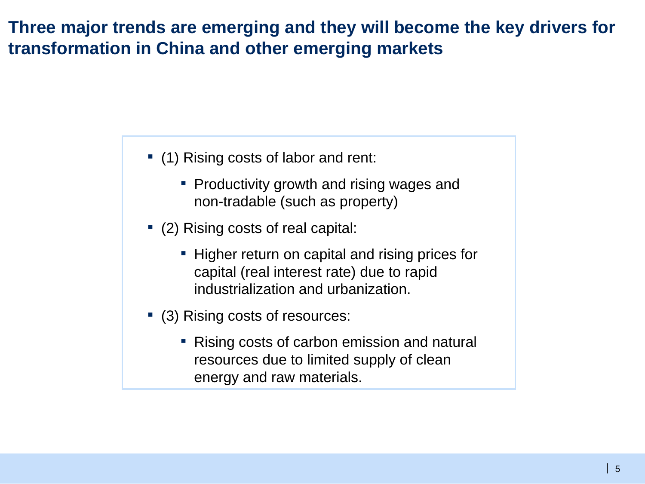#### **Three major trends are emerging and they will become the key drivers for transformation in China and other emerging markets**

- (1) Rising costs of labor and rent:
	- Productivity growth and rising wages and non-tradable (such as property)
- (2) Rising costs of real capital:
	- **EXTER 1** Higher return on capital and rising prices for capital (real interest rate) due to rapid industrialization and urbanization.
- (3) Rising costs of resources:
	- Rising costs of carbon emission and natural resources due to limited supply of clean energy and raw materials.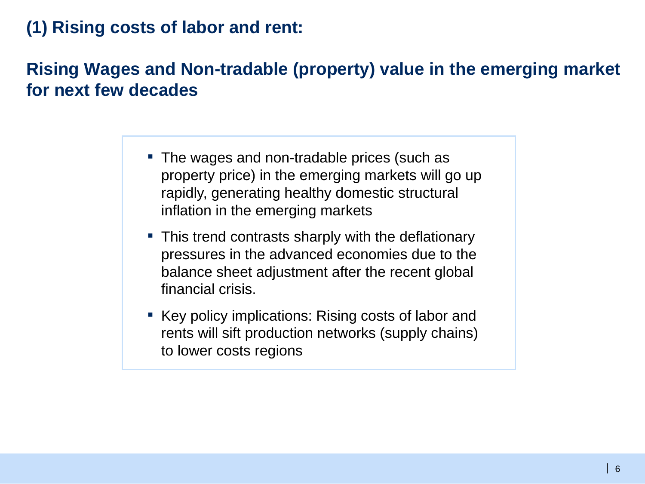#### **(1) Rising costs of labor and rent:**

# **Rising Wages and Non-tradable (property) value in the emerging market for next few decades**

- The wages and non-tradable prices (such as property price) in the emerging markets will go up rapidly, generating healthy domestic structural inflation in the emerging markets
- This trend contrasts sharply with the deflationary pressures in the advanced economies due to the balance sheet adjustment after the recent global financial crisis.
- Key policy implications: Rising costs of labor and rents will sift production networks (supply chains) to lower costs regions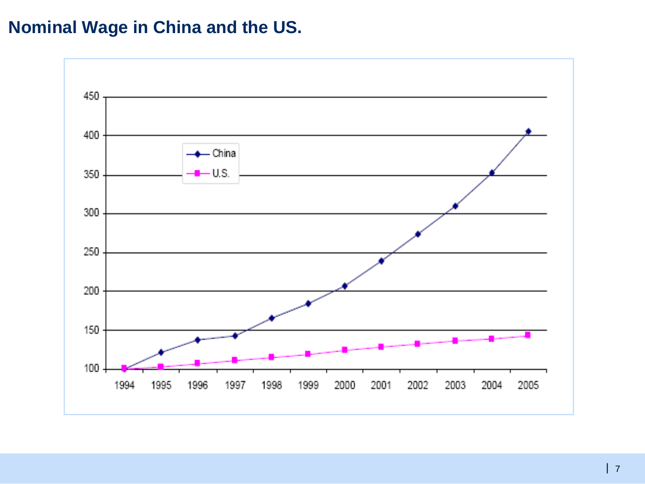# **Nominal Wage in China and the US.**

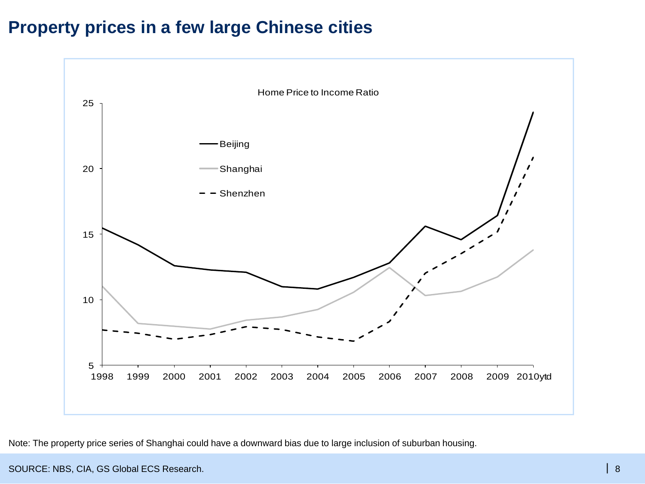# **Property prices in a few large Chinese cities**



Note: The property price series of Shanghai could have a downward bias due to large inclusion of suburban housing.

SOURCE: NBS, CIA, GS Global ECS Research.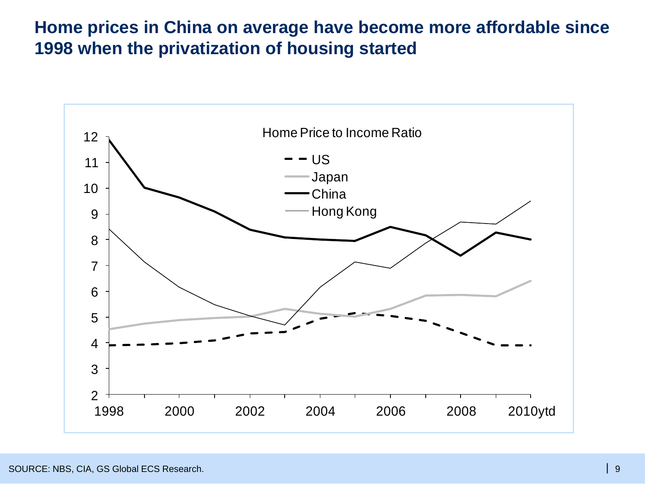## **Home prices in China on average have become more affordable since 1998 when the privatization of housing started**

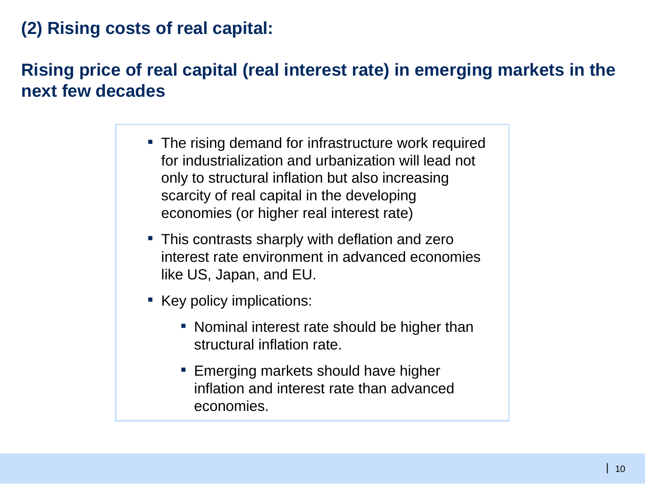# **(2) Rising costs of real capital:**

# **Rising price of real capital (real interest rate) in emerging markets in the next few decades**

- The rising demand for infrastructure work required for industrialization and urbanization will lead not only to structural inflation but also increasing scarcity of real capital in the developing economies (or higher real interest rate)
- **This contrasts sharply with deflation and zero** interest rate environment in advanced economies like US, Japan, and EU.
- Key policy implications:
	- Nominal interest rate should be higher than structural inflation rate.
	- **Example 1** Emerging markets should have higher inflation and interest rate than advanced economies.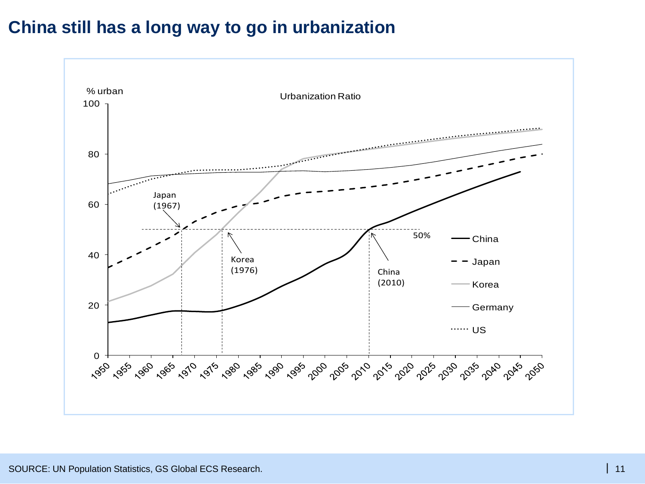#### **China still has a long way to go in urbanization**

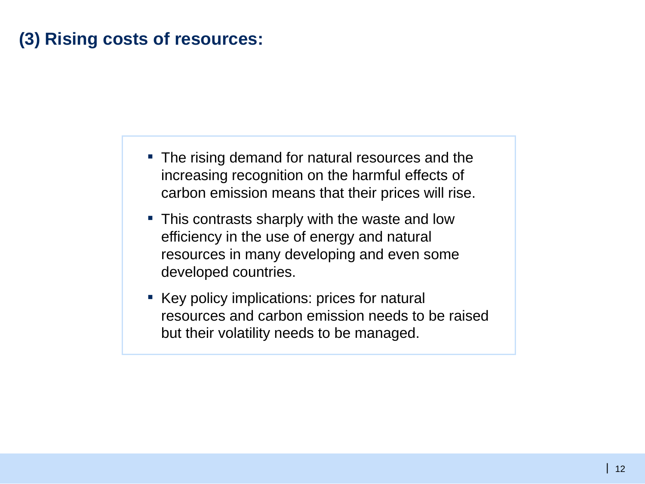# **(3) Rising costs of resources:**

- The rising demand for natural resources and the increasing recognition on the harmful effects of carbon emission means that their prices will rise.
- **This contrasts sharply with the waste and low** efficiency in the use of energy and natural resources in many developing and even some developed countries.
- Key policy implications: prices for natural resources and carbon emission needs to be raised but their volatility needs to be managed.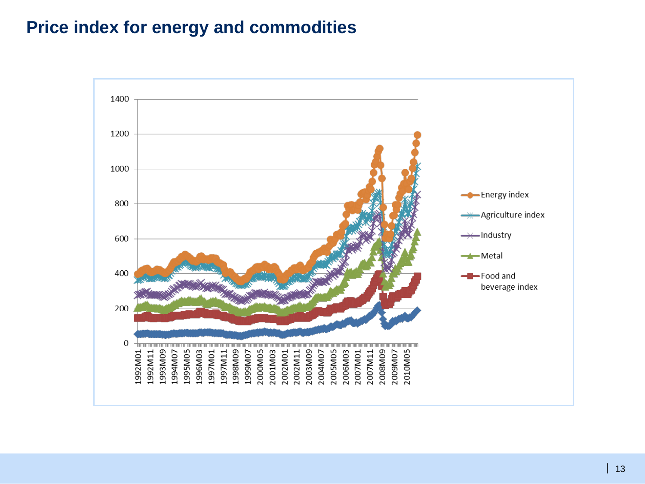#### **Price index for energy and commodities**

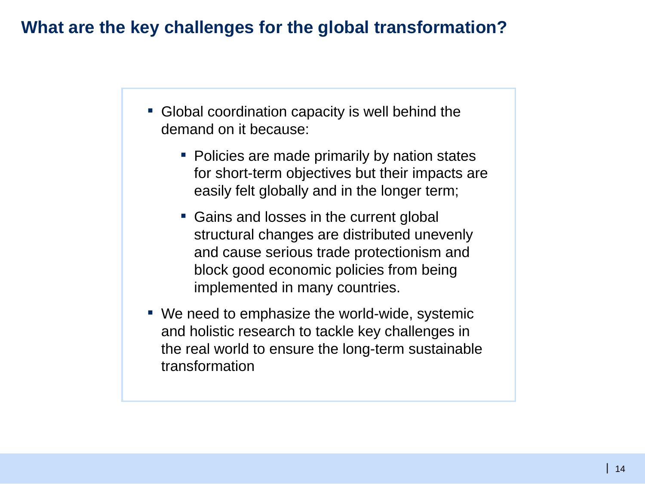#### **What are the key challenges for the global transformation?**

- Global coordination capacity is well behind the demand on it because:
	- Policies are made primarily by nation states for short-term objectives but their impacts are easily felt globally and in the longer term;
	- Gains and losses in the current global structural changes are distributed unevenly and cause serious trade protectionism and block good economic policies from being implemented in many countries.
- We need to emphasize the world-wide, systemic and holistic research to tackle key challenges in the real world to ensure the long-term sustainable transformation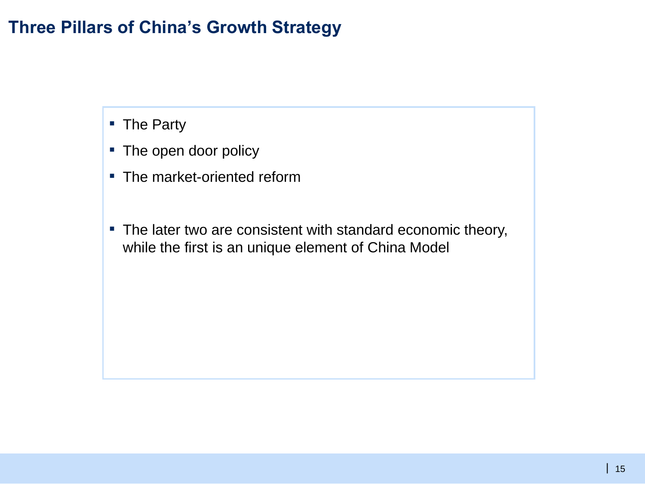# **Three Pillars of China's Growth Strategy**

- The Party
- The open door policy
- The market-oriented reform
- The later two are consistent with standard economic theory, while the first is an unique element of China Model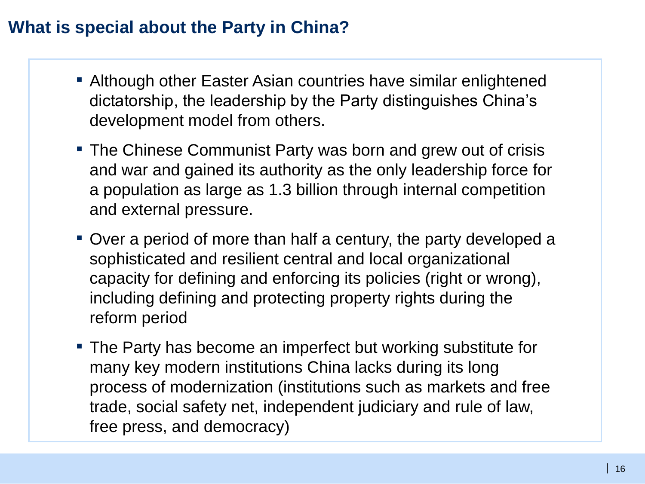# **What is special about the Party in China?**

- Although other Easter Asian countries have similar enlightened dictatorship, the leadership by the Party distinguishes China's development model from others.
- **The Chinese Communist Party was born and grew out of crisis** and war and gained its authority as the only leadership force for a population as large as 1.3 billion through internal competition and external pressure.
- Over a period of more than half a century, the party developed a sophisticated and resilient central and local organizational capacity for defining and enforcing its policies (right or wrong), including defining and protecting property rights during the reform period
- The Party has become an imperfect but working substitute for many key modern institutions China lacks during its long process of modernization (institutions such as markets and free trade, social safety net, independent judiciary and rule of law, free press, and democracy)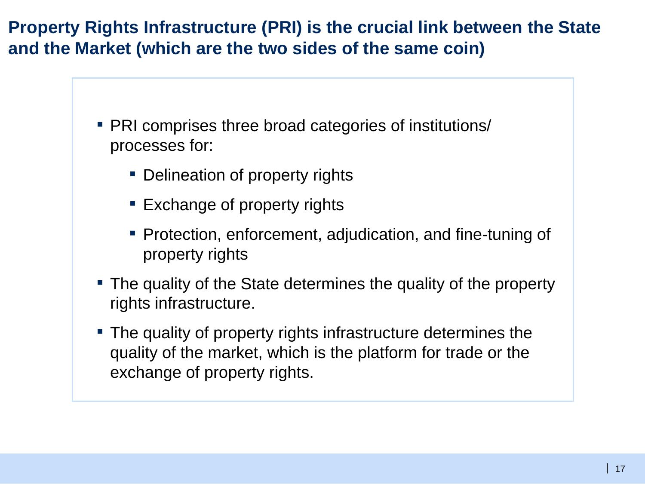**Property Rights Infrastructure (PRI) is the crucial link between the State and the Market (which are the two sides of the same coin)**

- PRI comprises three broad categories of institutions/ processes for:
	- **Delineation of property rights**
	- **Exchange of property rights**
	- **Protection, enforcement, adjudication, and fine-tuning of** property rights
- The quality of the State determines the quality of the property rights infrastructure.
- The quality of property rights infrastructure determines the quality of the market, which is the platform for trade or the exchange of property rights.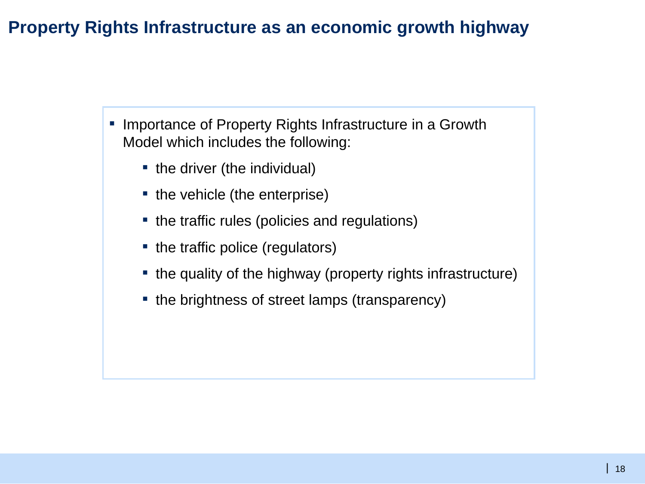# **Property Rights Infrastructure as an economic growth highway**

- Importance of Property Rights Infrastructure in a Growth Model which includes the following:
	- the driver (the individual)
	- the vehicle (the enterprise)
	- the traffic rules (policies and regulations)
	- the traffic police (regulators)
	- the quality of the highway (property rights infrastructure)
	- the brightness of street lamps (transparency)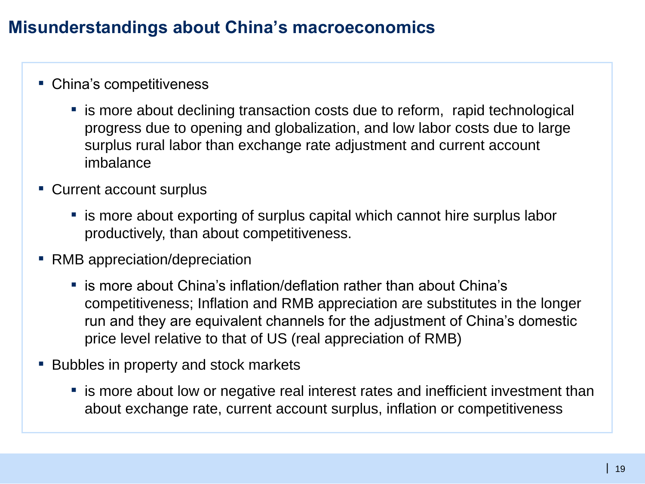# **Misunderstandings about China's macroeconomics**

#### ■ China's competitiveness

- is more about declining transaction costs due to reform, rapid technological progress due to opening and globalization, and low labor costs due to large surplus rural labor than exchange rate adjustment and current account imbalance
- Current account surplus
	- is more about exporting of surplus capital which cannot hire surplus labor productively, than about competitiveness.
- RMB appreciation/depreciation
	- is more about China's inflation/deflation rather than about China's competitiveness; Inflation and RMB appreciation are substitutes in the longer run and they are equivalent channels for the adjustment of China's domestic price level relative to that of US (real appreciation of RMB)
- Bubbles in property and stock markets
	- is more about low or negative real interest rates and inefficient investment than about exchange rate, current account surplus, inflation or competitiveness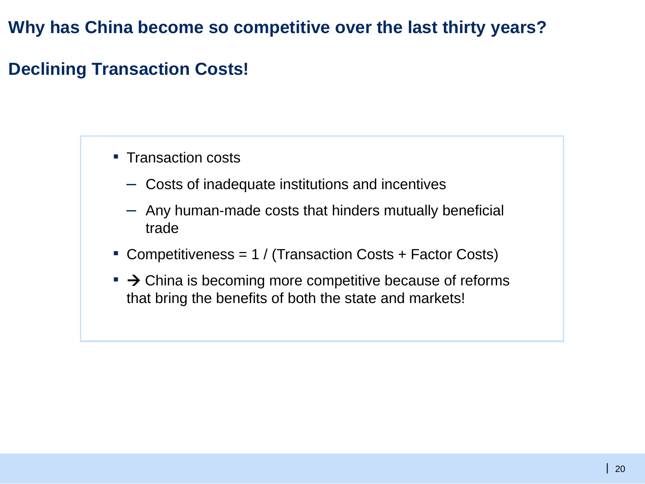#### **Why has China become so competitive over the last thirty years?**

# **Declining Transaction Costs!**

- Transaction costs
	- Costs of inadequate institutions and incentives
	- Any human-made costs that hinders mutually beneficial trade
- Competitiveness =  $1 / (Transaction \text{ Costs} + Factor \text{Costs})$
- $\bullet$   $\rightarrow$  China is becoming more competitive because of reforms that bring the benefits of both the state and markets!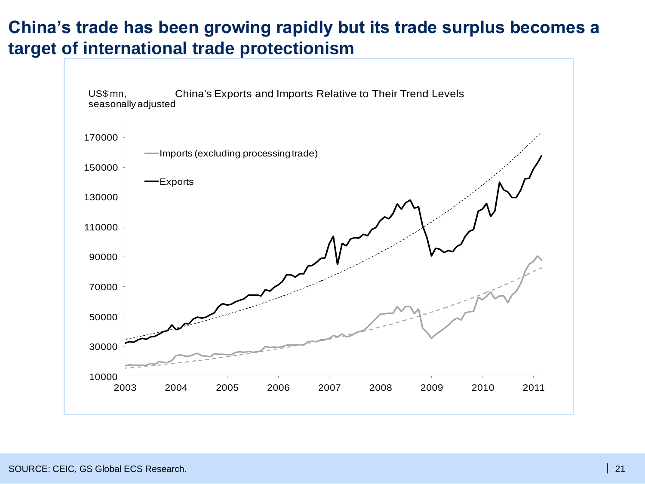#### **China's trade has been growing rapidly but its trade surplus becomes a target of international trade protectionism**

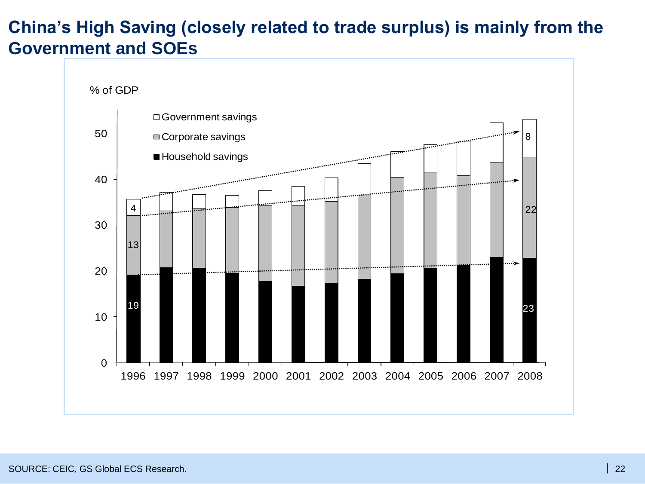#### **China's High Saving (closely related to trade surplus) is mainly from the Government and SOEs**

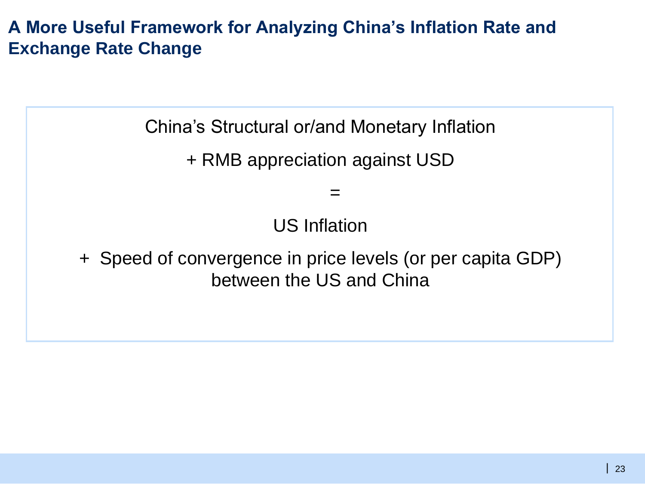# **A More Useful Framework for Analyzing China's Inflation Rate and Exchange Rate Change**

China's Structural or/and Monetary Inflation

+ RMB appreciation against USD

US Inflation

 $=$ 

+ Speed of convergence in price levels (or per capita GDP) between the US and China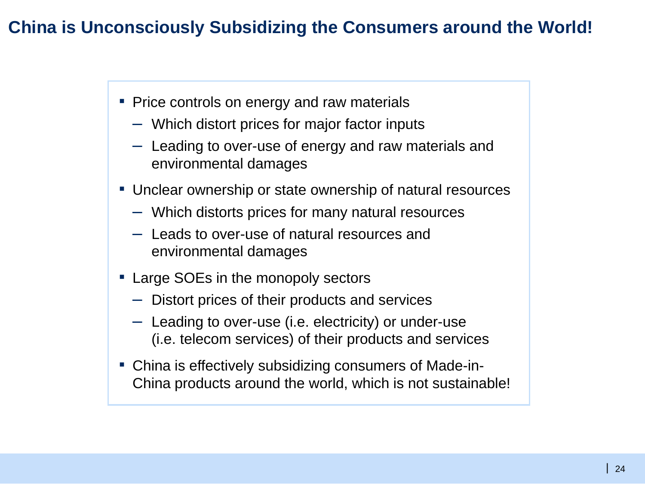#### **China is Unconsciously Subsidizing the Consumers around the World!**

- Price controls on energy and raw materials
	- Which distort prices for major factor inputs
	- Leading to over-use of energy and raw materials and environmental damages
- Unclear ownership or state ownership of natural resources
	- Which distorts prices for many natural resources
	- Leads to over-use of natural resources and environmental damages
- Large SOEs in the monopoly sectors
	- Distort prices of their products and services
	- Leading to over-use (i.e. electricity) or under-use (i.e. telecom services) of their products and services
- China is effectively subsidizing consumers of Made-in-China products around the world, which is not sustainable!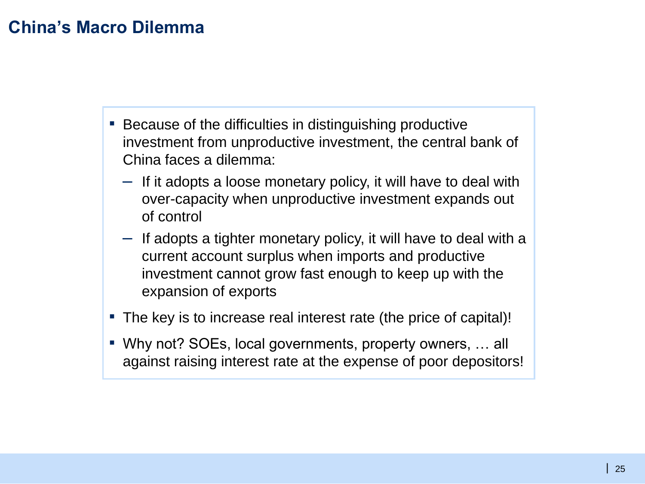# **China's Macro Dilemma**

- Because of the difficulties in distinguishing productive investment from unproductive investment, the central bank of China faces a dilemma:
	- If it adopts a loose monetary policy, it will have to deal with over-capacity when unproductive investment expands out of control
	- If adopts a tighter monetary policy, it will have to deal with a current account surplus when imports and productive investment cannot grow fast enough to keep up with the expansion of exports
- The key is to increase real interest rate (the price of capital)!
- Why not? SOEs, local governments, property owners, ... all against raising interest rate at the expense of poor depositors!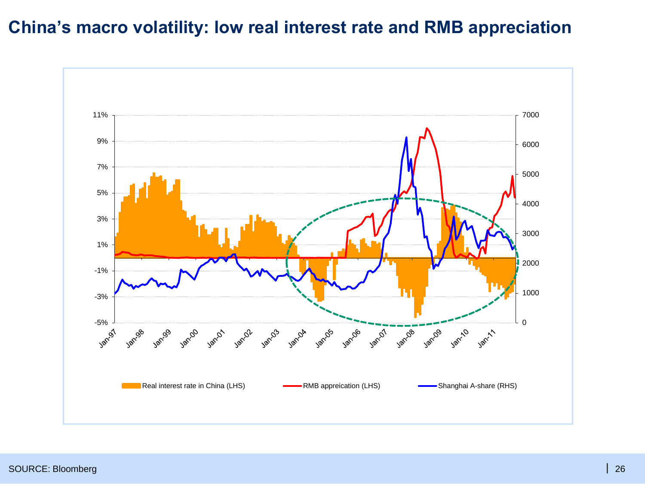#### **China's macro volatility: low real interest rate and RMB appreciation**

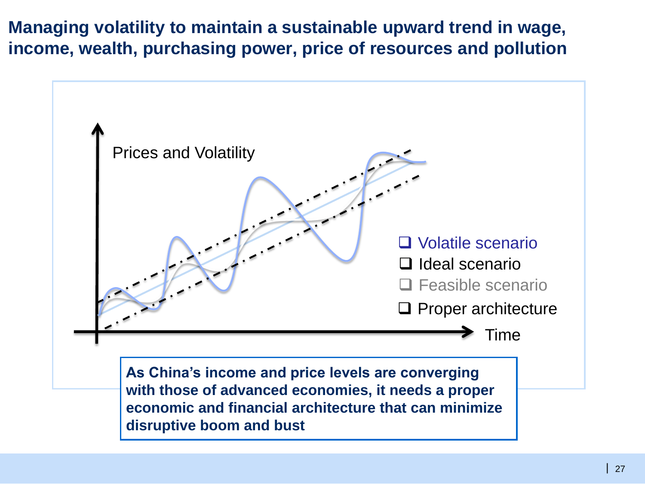**Managing volatility to maintain a sustainable upward trend in wage, income, wealth, purchasing power, price of resources and pollution**

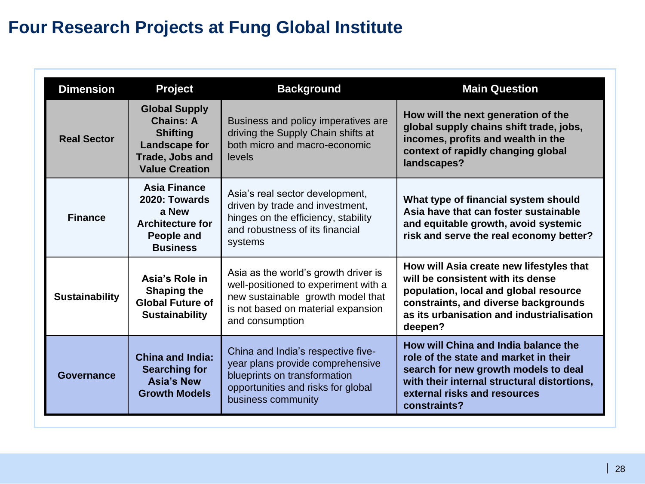# **Four Research Projects at Fung Global Institute**

| <b>Dimension</b>      | <b>Project</b>                                                                                                           | <b>Background</b>                                                                                                                                                          | <b>Main Question</b>                                                                                                                                                                                                   |
|-----------------------|--------------------------------------------------------------------------------------------------------------------------|----------------------------------------------------------------------------------------------------------------------------------------------------------------------------|------------------------------------------------------------------------------------------------------------------------------------------------------------------------------------------------------------------------|
| <b>Real Sector</b>    | <b>Global Supply</b><br><b>Chains: A</b><br><b>Shifting</b><br>Landscape for<br>Trade, Jobs and<br><b>Value Creation</b> | Business and policy imperatives are<br>driving the Supply Chain shifts at<br>both micro and macro-economic<br>levels                                                       | How will the next generation of the<br>global supply chains shift trade, jobs,<br>incomes, profits and wealth in the<br>context of rapidly changing global<br>landscapes?                                              |
| <b>Finance</b>        | <b>Asia Finance</b><br>2020: Towards<br>a New<br><b>Architecture for</b><br><b>People and</b><br><b>Business</b>         | Asia's real sector development,<br>driven by trade and investment,<br>hinges on the efficiency, stability<br>and robustness of its financial<br>systems                    | What type of financial system should<br>Asia have that can foster sustainable<br>and equitable growth, avoid systemic<br>risk and serve the real economy better?                                                       |
| <b>Sustainability</b> | Asia's Role in<br><b>Shaping the</b><br><b>Global Future of</b><br><b>Sustainability</b>                                 | Asia as the world's growth driver is<br>well-positioned to experiment with a<br>new sustainable growth model that<br>is not based on material expansion<br>and consumption | How will Asia create new lifestyles that<br>will be consistent with its dense<br>population, local and global resource<br>constraints, and diverse backgrounds<br>as its urbanisation and industrialisation<br>deepen? |
| <b>Governance</b>     | <b>China and India:</b><br><b>Searching for</b><br><b>Asia's New</b><br><b>Growth Models</b>                             | China and India's respective five-<br>year plans provide comprehensive<br>blueprints on transformation<br>opportunities and risks for global<br>business community         | How will China and India balance the<br>role of the state and market in their<br>search for new growth models to deal<br>with their internal structural distortions,<br>external risks and resources<br>constraints?   |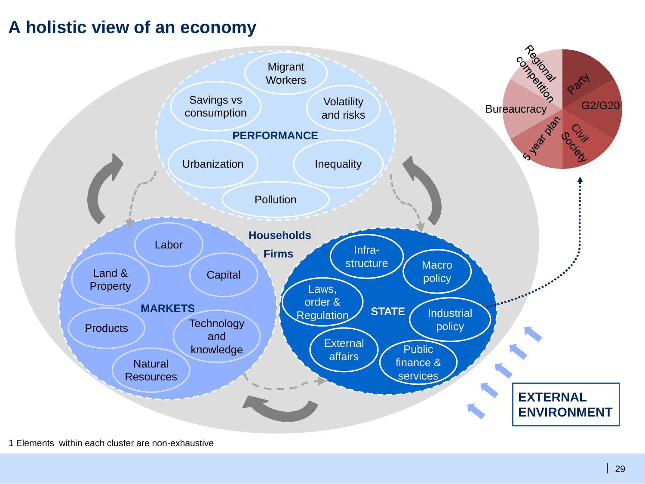#### **A holistic view of an economy**

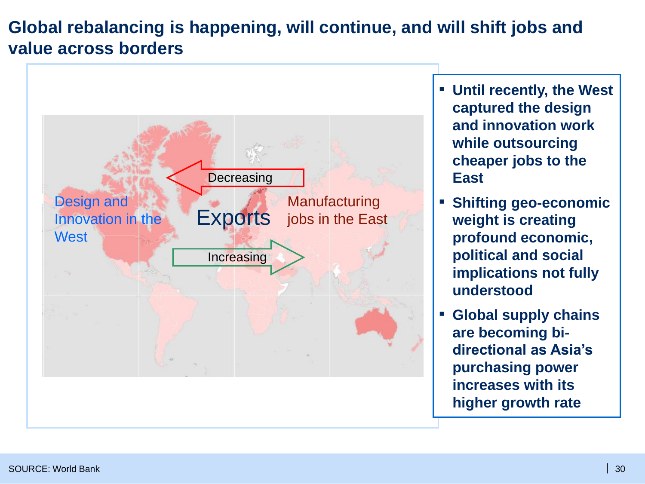# **Global rebalancing is happening, will continue, and will shift jobs and value across borders**



- **Until recently, the West captured the design and innovation work while outsourcing cheaper jobs to the East**
- **Shifting geo-economic weight is creating profound economic, political and social implications not fully understood**
- **Global supply chains are becoming bidirectional as Asia's purchasing power increases with its higher growth rate**